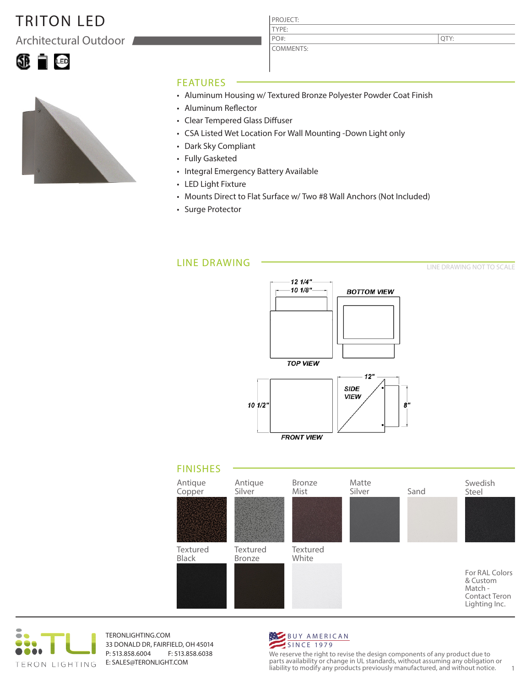## TRITON LED

Architectural Outdoor





### FEATURES

- Aluminum Housing w/ Textured Bronze Polyester Powder Coat Finish
- Aluminum Reflector
- Clear Tempered Glass Diffuser
- CSA Listed Wet Location For Wall Mounting -Down Light only

PROJECT: TYPE:

PO#:

COMMENTS:

- Dark Sky Compliant
- Fully Gasketed
- Integral Emergency Battery Available
- LED Light Fixture
- Mounts Direct to Flat Surface w/ Two #8 Wall Anchors (Not Included)
- Surge Protector

#### LINE DRAWING

12 1/4"  $101/8"$ **BOTTOM VIEW TOP VIEW**  $12"$ **SIDE** VIEW  $10^{1/2}$  $\boldsymbol{s}$ **FRONT VIEW** 





TERONLIGHTING.COM 33 DONALD DR, FAIRFIELD, OH 45014 P: 513.858.6004 F: 513.858.6038 E: SALES@TERONLIGHT.COM



We reserve the right to revise the design components of any product due to parts availability or change in UL standards, without assuming any obligation or liability to modify any products previously manufactured, and without notice. 1

LINE DRAWING NOT TO SCALE